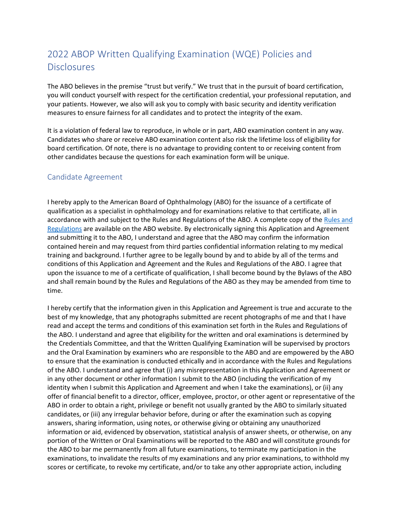# 2022 ABOP Written Qualifying Examination (WQE) Policies and Disclosures

The ABO believes in the premise "trust but verify." We trust that in the pursuit of board certification, you will conduct yourself with respect for the certification credential, your professional reputation, and your patients. However, we also will ask you to comply with basic security and identity verification measures to ensure fairness for all candidates and to protect the integrity of the exam.

It is a violation of federal law to reproduce, in whole or in part, ABO examination content in any way. Candidates who share or receive ABO examination content also risk the lifetime loss of eligibility for board certification. Of note, there is no advantage to providing content to or receiving content from other candidates because the questions for each examination form will be unique.

## Candidate Agreement

I hereby apply to the American Board of Ophthalmology (ABO) for the issuance of a certificate of qualification as a specialist in ophthalmology and for examinations relative to that certificate, all in accordance with and subject to the Rules and Regulations of the ABO. A complete copy of the [Rules and](https://www.manula.com/manuals/american-board-of-ophthal/abo-rules-regulations-amp-policies/1/en/topic/rules-regulations-amp-administrative-policies)  [Regulations](https://www.manula.com/manuals/american-board-of-ophthal/abo-rules-regulations-amp-policies/1/en/topic/rules-regulations-amp-administrative-policies) are available on the ABO website. By electronically signing this Application and Agreement and submitting it to the ABO, I understand and agree that the ABO may confirm the information contained herein and may request from third parties confidential information relating to my medical training and background. I further agree to be legally bound by and to abide by all of the terms and conditions of this Application and Agreement and the Rules and Regulations of the ABO. I agree that upon the issuance to me of a certificate of qualification, I shall become bound by the Bylaws of the ABO and shall remain bound by the Rules and Regulations of the ABO as they may be amended from time to time.

I hereby certify that the information given in this Application and Agreement is true and accurate to the best of my knowledge, that any photographs submitted are recent photographs of me and that I have read and accept the terms and conditions of this examination set forth in the Rules and Regulations of the ABO. I understand and agree that eligibility for the written and oral examinations is determined by the Credentials Committee, and that the Written Qualifying Examination will be supervised by proctors and the Oral Examination by examiners who are responsible to the ABO and are empowered by the ABO to ensure that the examination is conducted ethically and in accordance with the Rules and Regulations of the ABO. I understand and agree that (i) any misrepresentation in this Application and Agreement or in any other document or other information I submit to the ABO (including the verification of my identity when I submit this Application and Agreement and when I take the examinations), or (ii) any offer of financial benefit to a director, officer, employee, proctor, or other agent or representative of the ABO in order to obtain a right, privilege or benefit not usually granted by the ABO to similarly situated candidates, or (iii) any irregular behavior before, during or after the examination such as copying answers, sharing information, using notes, or otherwise giving or obtaining any unauthorized information or aid, evidenced by observation, statistical analysis of answer sheets, or otherwise, on any portion of the Written or Oral Examinations will be reported to the ABO and will constitute grounds for the ABO to bar me permanently from all future examinations, to terminate my participation in the examinations, to invalidate the results of my examinations and any prior examinations, to withhold my scores or certificate, to revoke my certificate, and/or to take any other appropriate action, including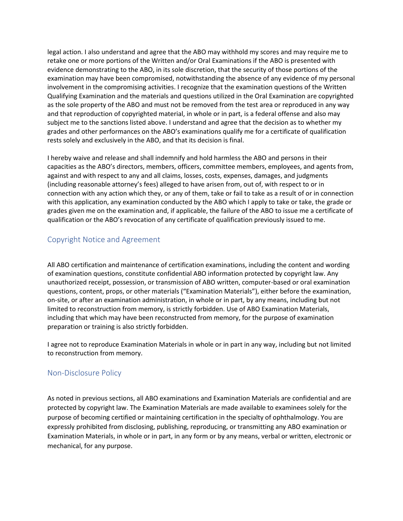legal action. I also understand and agree that the ABO may withhold my scores and may require me to retake one or more portions of the Written and/or Oral Examinations if the ABO is presented with evidence demonstrating to the ABO, in its sole discretion, that the security of those portions of the examination may have been compromised, notwithstanding the absence of any evidence of my personal involvement in the compromising activities. I recognize that the examination questions of the Written Qualifying Examination and the materials and questions utilized in the Oral Examination are copyrighted as the sole property of the ABO and must not be removed from the test area or reproduced in any way and that reproduction of copyrighted material, in whole or in part, is a federal offense and also may subject me to the sanctions listed above. I understand and agree that the decision as to whether my grades and other performances on the ABO's examinations qualify me for a certificate of qualification rests solely and exclusively in the ABO, and that its decision is final.

I hereby waive and release and shall indemnify and hold harmless the ABO and persons in their capacities as the ABO's directors, members, officers, committee members, employees, and agents from, against and with respect to any and all claims, losses, costs, expenses, damages, and judgments (including reasonable attorney's fees) alleged to have arisen from, out of, with respect to or in connection with any action which they, or any of them, take or fail to take as a result of or in connection with this application, any examination conducted by the ABO which I apply to take or take, the grade or grades given me on the examination and, if applicable, the failure of the ABO to issue me a certificate of qualification or the ABO's revocation of any certificate of qualification previously issued to me.

## Copyright Notice and Agreement

All ABO certification and maintenance of certification examinations, including the content and wording of examination questions, constitute confidential ABO information protected by copyright law. Any unauthorized receipt, possession, or transmission of ABO written, computer-based or oral examination questions, content, props, or other materials ("Examination Materials"), either before the examination, on-site, or after an examination administration, in whole or in part, by any means, including but not limited to reconstruction from memory, is strictly forbidden. Use of ABO Examination Materials, including that which may have been reconstructed from memory, for the purpose of examination preparation or training is also strictly forbidden.

I agree not to reproduce Examination Materials in whole or in part in any way, including but not limited to reconstruction from memory.

#### Non-Disclosure Policy

As noted in previous sections, all ABO examinations and Examination Materials are confidential and are protected by copyright law. The Examination Materials are made available to examinees solely for the purpose of becoming certified or maintaining certification in the specialty of ophthalmology. You are expressly prohibited from disclosing, publishing, reproducing, or transmitting any ABO examination or Examination Materials, in whole or in part, in any form or by any means, verbal or written, electronic or mechanical, for any purpose.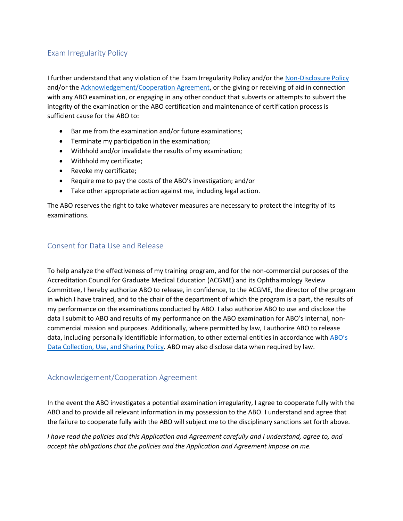# Exam Irregularity Policy

I further understand that any violation of the Exam Irregularity Policy and/or th[e Non-Disclosure Policy](https://www.manula.com/manuals/american-board-of-ophthal/abo-wqe-procedures-manual/1/en/topic/non-disclosure-policy) and/or th[e Acknowledgement/Cooperation Agreement,](https://www.manula.com/manuals/american-board-of-ophthal/abo-wqe-procedures-manual/1/en/topic/acknowledgement-cooperation-agreement) or the giving or receiving of aid in connection with any ABO examination, or engaging in any other conduct that subverts or attempts to subvert the integrity of the examination or the ABO certification and maintenance of certification process is sufficient cause for the ABO to:

- Bar me from the examination and/or future examinations;
- Terminate my participation in the examination;
- Withhold and/or invalidate the results of my examination;
- Withhold my certificate;
- Revoke my certificate;
- Require me to pay the costs of the ABO's investigation; and/or
- Take other appropriate action against me, including legal action.

The ABO reserves the right to take whatever measures are necessary to protect the integrity of its examinations.

## Consent for Data Use and Release

To help analyze the effectiveness of my training program, and for the non-commercial purposes of the Accreditation Council for Graduate Medical Education (ACGME) and its Ophthalmology Review Committee, I hereby authorize ABO to release, in confidence, to the ACGME, the director of the program in which I have trained, and to the chair of the department of which the program is a part, the results of my performance on the examinations conducted by ABO. I also authorize ABO to use and disclose the data I submit to ABO and results of my performance on the ABO examination for ABO's internal, noncommercial mission and purposes. Additionally, where permitted by law, I authorize ABO to release data, including personally identifiable information, to other external entities in accordance with [ABO's](https://www.manula.com/manuals/american-board-of-ophthal/abo-rules-regulations-amp-policies/1/en/topic/data-collection-use-and-sharing)  [Data Collection, Use, and Sharing Policy.](https://www.manula.com/manuals/american-board-of-ophthal/abo-rules-regulations-amp-policies/1/en/topic/data-collection-use-and-sharing) ABO may also disclose data when required by law.

# Acknowledgement/Cooperation Agreement

In the event the ABO investigates a potential examination irregularity, I agree to cooperate fully with the ABO and to provide all relevant information in my possession to the ABO. I understand and agree that the failure to cooperate fully with the ABO will subject me to the disciplinary sanctions set forth above.

*I have read the policies and this Application and Agreement carefully and I understand, agree to, and accept the obligations that the policies and the Application and Agreement impose on me.*